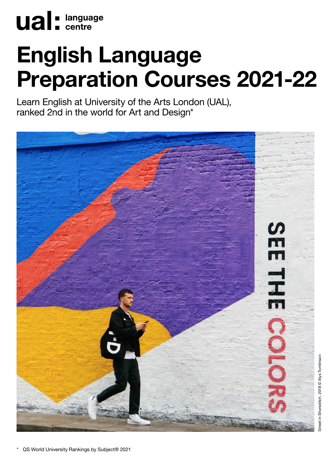

# English Language Preparation Courses 2021-22

Learn English at University of the Arts London (UAL), ranked 2nd in the world for Art and Design\*

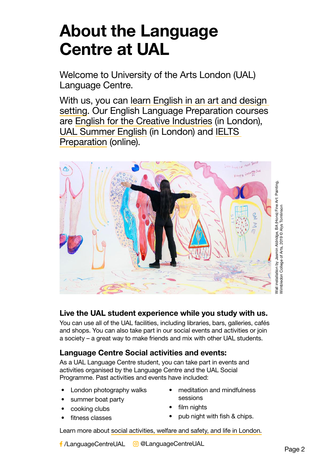# About the Language Centre at UAL

Welcome to University of the Arts London (UAL) Language Centre.

With us, you can [learn English in an art and design](https://www.arts.ac.uk/study-at-ual/language-centre/learn-english)  [setting.](https://www.arts.ac.uk/study-at-ual/language-centre/learn-english) Our English Language Preparation courses are [English for the Creative Industries](https://www.arts.ac.uk/subjects/languages/english-creative-industries) (in London), [UAL Summer English](https://www.arts.ac.uk/subjects/languages/summer-english) (in London) and [IELTS](https://www.arts.ac.uk/subjects/languages/ielts-online-prep-course)  [Preparation](https://www.arts.ac.uk/subjects/languages/ielts-online-prep-course) (online).



# Live the UAL student experience while you study with us.

You can use all of the UAL facilities, including libraries, bars, galleries, cafés and shops. You can also take part in our social events and activities or join a society – a great way to make friends and mix with other UAL students.

# Language Centre Social activities and events:

As a UAL Language Centre student, you can take part in events and activities organised by the Language Centre and the UAL Social Programme. Past activities and events have included:

- London photography walks
- summer boat party
- cooking clubs
- fitness classes
- meditation and mindfulness sessions
- film nights
- pub night with fish & chips.

[Learn more about social activities, welfare and safety, and life in London.](https://www.arts.ac.uk/study-at-ual/language-centre/learn-english/LC-student-activities)

f /LanguageCentreUAL © @LanguageCentreUAL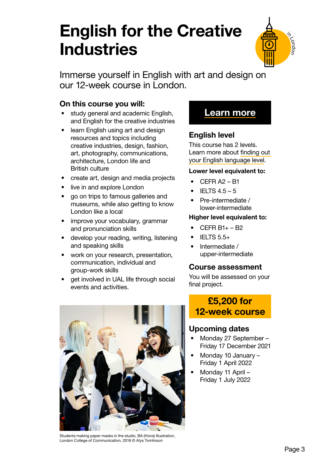# English for the Creative **Industries**



Immerse yourself in English with art and design on our 12-week course in London.

# On this course you will:

- study general and academic English, and English for the creative industries
- learn English using art and design resources and topics including creative industries, design, fashion, art, photography, communications, architecture, London life and British culture
- create art, design and media projects
- live in and explore London
- go on trips to famous galleries and museums, while also getting to know London like a local
- improve your vocabulary, grammar and pronunciation skills
- develop your reading, writing, listening and speaking skills
- work on your research, presentation, communication, individual and group-work skills
- get involved in UAL life through social events and activities.



# [Learn more](http://arts.ac.uk/subjects/languages/english-creative-industries)

# English level

This course has 2 levels. Learn more about [finding out](https://www.arts.ac.uk/study-at-ual/language-centre/your-language-level)  [your English language level](https://www.arts.ac.uk/study-at-ual/language-centre/your-language-level).

### Lower level equivalent to:

- $\bullet$  CEFR A2 B1
- IELTS  $4.5 5$
- Pre-intermediate / lower-intermediate

### Higher level equivalent to:

- CEFR B1+ B2
- IELTS 5.5+
- Intermediate / upper-intermediate

### Course assessment

You will be assessed on your final project.

# £5,200 for 12-week course

# Upcoming dates

- Monday 27 September Friday 17 December 2021
- Monday 10 January Friday 1 April 2022
- Monday 11 April Friday 1 July 2022

Students making paper masks in the studio, BA (Hons) Illustration, London College of Communication, 2016 © Alys Tomlinson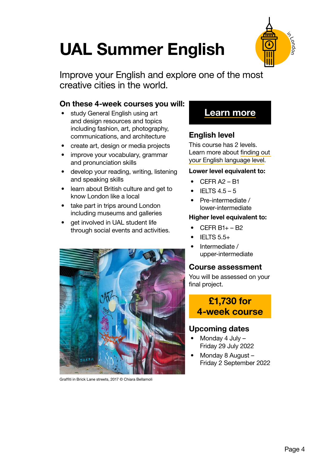# UAL Summer English



Improve your English and explore one of the most creative cities in the world.

# On these 4-week courses you will:

- study General English using art and design resources and topics including fashion, art, photography, communications, and architecture
- create art, design or media projects
- improve your vocabulary, grammar and pronunciation skills
- develop your reading, writing, listening and speaking skills
- learn about British culture and get to know London like a local
- take part in trips around London including museums and galleries
- get involved in UAL student life through social events and activities.



Graffiti in Brick Lane streets, 2017 © Chiara Bellamoli

# [Learn more](http://arts.ac.uk/subjects/languages/summer-english)

# English level

This course has 2 levels. Learn more about [finding out](https://www.arts.ac.uk/study-at-ual/language-centre/your-language-level)  [your English language level](https://www.arts.ac.uk/study-at-ual/language-centre/your-language-level).

#### Lower level equivalent to:

- CEFR A2 B1
- $\bullet$  IELTS 4.5 5
- Pre-intermediate / lower-intermediate

#### Higher level equivalent to:

- CEFR B1+ B2
- IELTS 5.5+
- Intermediate / upper-intermediate

### Course assessment

You will be assessed on your final project.

# £1,730 for 4-week course

# Upcoming dates

- Monday 4 July Friday 29 July 2022
- Monday 8 August Friday 2 September 2022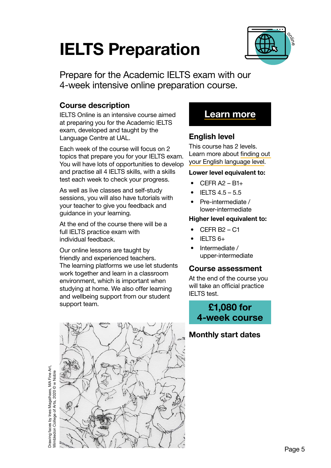# IELTS Preparation



Prepare for the Academic IELTS exam with our 4-week intensive online preparation course.

# Course description

IELTS Online is an intensive course aimed at preparing you for the Academic IELTS exam, developed and taught by the Language Centre at UAL.

Each week of the course will focus on 2 topics that prepare you for your IELTS exam. You will have lots of opportunities to develop and practise all 4 IELTS skills, with a skills test each week to check your progress.

As well as live classes and self-study sessions, you will also have tutorials with your teacher to give you feedback and guidance in your learning.

At the end of the course there will be a full IELTS practice exam with individual feedback.

Our online lessons are taught by friendly and experienced teachers. The learning platforms we use let students work together and learn in a classroom environment, which is important when studying at home. We also offer learning and wellbeing support from our student support team.



Drawing faces by Ines Magalhaes, MA Fine Art,

# [Learn more](http://arts.ac.uk/subjects/languages/ielts-online-prep-course)

# English level

This course has 2 levels. Learn more about [finding out](https://www.arts.ac.uk/study-at-ual/language-centre/your-language-level)  [your English language level](https://www.arts.ac.uk/study-at-ual/language-centre/your-language-level).

### Lower level equivalent to:

- $CFER A2 B1+$
- IELTS 4.5 5.5
- Pre-intermediate / lower-intermediate

### Higher level equivalent to:

- CEFR B2 C1
- IELTS 6+
- Intermediate / upper-intermediate

### Course assessment

At the end of the course you will take an official practice IELTS test.

£1,080 for 4-week course

# Monthly start dates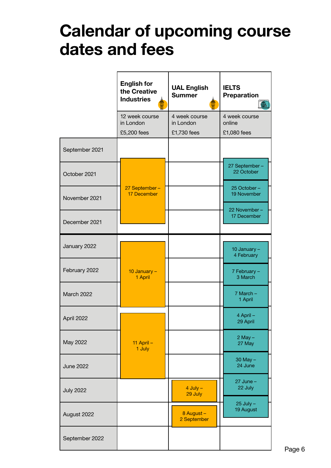# 2021-22 course dates Calendar of upcoming course dates and fees

|                  | <b>English for</b><br>the Creative<br><b>Industries</b> | <b>UAL English</b><br><b>Summer</b>       | <b>IELTS</b><br><b>Preparation</b><br>∰ |
|------------------|---------------------------------------------------------|-------------------------------------------|-----------------------------------------|
|                  | 12 week course<br>in London<br>£5,200 fees              | 4 week course<br>in London<br>£1,730 fees | 4 week course<br>online<br>£1,080 fees  |
| September 2021   |                                                         |                                           |                                         |
| October 2021     |                                                         |                                           | 27 September-<br>22 October             |
| November 2021    | 27 September-<br>17 December                            |                                           | 25 October-<br>19 November              |
| December 2021    |                                                         |                                           | 22 November-<br>17 December             |
| January 2022     |                                                         |                                           | 10 January -<br>4 February              |
| February 2022    | 10 January -<br>1 April                                 |                                           | 7 February -<br>3 March                 |
| March 2022       |                                                         |                                           | $7$ March $-$<br>1 April                |
| April 2022       |                                                         |                                           | 4 April -<br>29 April                   |
| May 2022         | 11 April $-$<br>1 July                                  |                                           | $2$ May $-$<br>27 May                   |
| <b>June 2022</b> |                                                         |                                           | $30$ May $-$<br>24 June                 |
| <b>July 2022</b> |                                                         | $4$ July $-$<br>29 July                   | $27$ June $-$<br>22 July                |
| August 2022      |                                                         | 8 August -<br>2 September                 | $25$ July $-$<br>19 August              |
| September 2022   |                                                         |                                           |                                         |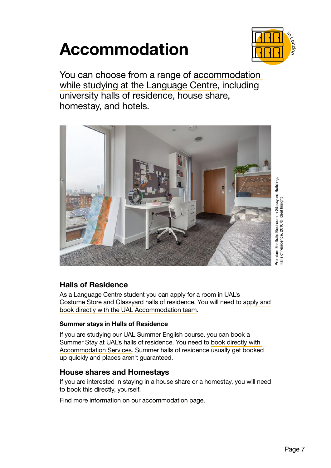# Accommodation



You can choose from a range of [accommodation](https://www.arts.ac.uk/study-at-ual/accommodation/language-centre-students)  [while studying at the Language Centre,](https://www.arts.ac.uk/study-at-ual/accommodation/language-centre-students) including university halls of residence, house share, homestay, and hotels.



# Halls of Residence

As a Language Centre student you can apply for a room in UAL's [Costume Store](https://www.arts.ac.uk/study-at-ual/accommodation/halls-of-residence/the-costume-store) and [Glassyard](https://www.arts.ac.uk/study-at-ual/accommodation/halls-of-residence/glassyard-building) halls of residence. You will need to [apply and](https://www.arts.ac.uk/study-at-ual/accommodation/language-centre-students/)  [book directly with the UAL Accommodation team.](https://www.arts.ac.uk/study-at-ual/accommodation/language-centre-students/)

### Summer stays in Halls of Residence

If you are studying our UAL Summer English course, you can book a Summer Stay at UAL's halls of residence. You need to [book directly with](https://www.arts.ac.uk/study-at-ual/accommodation/language-centre-students/)  [Accommodation Services.](https://www.arts.ac.uk/study-at-ual/accommodation/language-centre-students/) Summer halls of residence usually get booked up quickly and places aren't guaranteed.

### House shares and Homestays

If you are interested in staying in a house share or a homestay, you will need to book this directly, yourself.

Find more information on our [accommodation page.](https://www.arts.ac.uk/study-at-ual/accommodation/language-centre-students/)